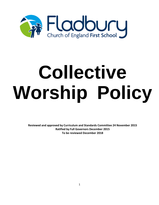

# **Collective Worship Policy**

**Reviewed and approved by Curriculum and Standards Committee 24 November 2015 Ratified by Full Governors December 2015 To be reviewed December 2018**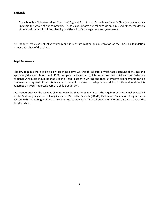## **Rationale**

Our school is a Voluntary Aided Church of England First School. As such we identify Christian values which underpin the whole of our community. These values inform our school's vision, aims and ethos, the design of our curriculum, all policies, planning and the school's management and governance.

At Fladbury, we value collective worship and it is an affirmation and celebration of the Christian foundation values and ethos of the school.

#### **Legal Framework**

The law requires there to be a daily act of collective worship for all pupils which takes account of the age and aptitude (Education Reform Act, 1988). All parents have the right to withdraw their children from Collective Worship. A request should be made to the Head Teacher in writing and then alternative arrangements can be discussed and agreed. Since this is a church school, however, worship is central to our life and work and is regarded as a very important part of a child's education.

Our Governors have the responsibility for ensuring that the school meets the requirements for worship detailed in the Statutory Inspection of Anglican and Methodist Schools (SIAMS) Evaluation Document. They are also tasked with monitoring and evaluating the impact worship on the school community in consultation with the head teacher.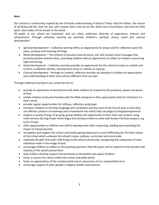**Aims**

Our school is a community inspired by the Christian understanding of God as Trinity: God the Father, the source of all being and life; God the Son, who reveals God's love by his life, death and resurrection; and God the Holy Spirit, who makes Christ known in the world.

All pupils at our school are important, and our ethos celebrates diversity of experience, interest and achievement. Through collective worship we promote children's spiritual, moral, social and cultural development:

- *Spiritual development –* Collective worship offers an opportunity for prayer and for reflection upon the value, purpose and meaning of things.
- *Moral development –* The content of worship material (story, etc) will contain moral messages that promote positive shared values, providing children with an opportunity to reflect on matters concerning right and wrong.
- *Social development –* Collective worship provides an opportunity for the school to meet as a whole and to form a collective identity, sharing times of joy or sadness as a group.
- *Cultural development –* through its content, collective worship can develop in children an appreciation and understanding of faiths and cultures different from our own

Through collective worship in our school we aimto:

- provide an experience of worship that will allow children to respond to the presence, power and peace of God
- enable children to become familiar with the Bible and grow in their appreciation that for Christians it is God's word.
- provide regular opportunities for stillness, reflection andprayer
- introduce children to Christian language and symbolism and the cycle of the Church year so that they are offered a pattern of meanings and a framework into which they can begin to integrateexperience
- explore a variety of ways of praying, giving children the opportunity to form their own prayers using multi-sensory foci (eg Prayer Stone Bags) and introduce them to some well-known Christian prayers, e.g. Lord's Prayer
- offer opportunities to children and staff to develop their skills in planning, leading and evaluating the impact of school worship
- strengthen and support the school community giving expression to and reaffirming the Christian values of the school which underpin the school's vision, policies, curriculum and moral code
- celebrate the gifts that each child brings to the school community, recognising the uniqueness of each individual made in the image of God
- encourage children to reflect on the puzzling questions that life poses and to respond to the wonder and mystery of the world around them
- help children develop respect and sensitivity to the beliefs and values ofothers
- foster a concern for others within the school and wider world
- foster an appreciation of the created world and an awareness of our responsibility forit
- encourage respect of other people's religious beliefs and practices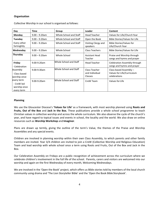## **Organisation**

| Day                                                    | Time             | Group                  | Leader                                     | Content                                                              |
|--------------------------------------------------------|------------------|------------------------|--------------------------------------------|----------------------------------------------------------------------|
| Monday                                                 | $9.00 - 9.20$ am | Whole School and Staff | <b>Head Teacher</b>                        | Values for Life/Church Year                                          |
| Tuesday                                                | $9.00 - 9.20$ am | Whole School and Staff | Open the Book                              | Bible Stories/Values for Life                                        |
| Every other<br>fortnightly                             | $9.00 - 9.20$ am | Whole School and Staff | Visiting Clergy and<br>speakers            | Bible Stories/Values for<br>Life/Church Year                         |
| Wednesday                                              | $9.00 - 9.20$ am | Whole School           | <b>Class Teachers</b>                      | Bible Stories/Values for Life                                        |
| Thursday                                               | $9.00 - 9.20$ am | Whole School           | Assistant Head<br>Teacher                  | Praise and Worship through<br>songs and hymns and prayer             |
| Friday<br>- Celebration                                | 9.00-9.20am      | Whole School and Staff | <b>Head Teacher</b>                        | Celebration Assembly through<br>songs and hymns and prayer           |
| Assembly<br>- Class based<br>worship once              | 9.00-9.30am      | Whole School and Staff | Class Teacher<br>and Individual<br>Classes | Class-based Assembly -<br>Values for Life/Curriculum<br>celebrations |
| every term<br>- CreW led<br>worship once<br>every term | 9.00-9.20am      | Whole School and Staff | CreW Team                                  | Values for Life                                                      |

Collective Worship in our school is organised asfollows:

#### **Planning**

We use the Gloucester Diocese's **'Values for Life'** as a framework**,** with most worship planned using **Roots and Fruits, Out of the Box** and **Jack in the Box.** These publications provide a whole school programme to teach Christian values in collective worship and across the whole curriculum. We also observe the cycle of the church's year, and have regard to topical issues and events in school, the locality and the world. We also draw on online resources such as **Worship Workshop** and **Imaginor**.

Plans are drawn up termly, giving the outline of the term's Value, the themes of the Praise and Worship Assemblies and any special events.

Children are involved in planning worship within their own Class Assembly, to which parents and other family members are invited. Year 3/4 children are invited to join a CreW (Collective Worship and Religious Education) Team and lead worship with whole school once a term using Roots and Fruits, Out of the Box and Jack in the Box.

Our Celebration Assembly on Fridays are a public recognition of achievement across the curriculum where we celebrate children's involvement in the full life of the school. Parents, carers and visitors are welcomed into our worship and again on the first Wednesday of every month, Welcoming Wednesdays.

We are involved in the 'Open the Book' project, which offers us Bible stories told by members of the local church community using drama and 'The Lion Storyteller Bible' and the 'Open the Book Bible Storybook'.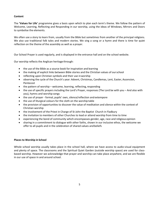# **Content**

The **'Values for Life'** programme gives a basis upon which to plan each term's theme. We follow the pattern of Welcome, Learning, Reflecting and Responding in our worship, using the ideas of Windows, Mirrors and Doors to symbolise the elements.

We often use a story to learn from, usually from the Bible but sometimes from another of the principal religions. We also use traditional folk tales and modern stories. We sing a song or a hymn and there is time for quiet reflection on the theme of the assembly as well as a prayer.

Our School Prayer is used regularly, and is displayed in the entrance hall and on the school website.

Our worship reflects the Anglican heritage through:

- the use of the Bible as a source book for inspiration and learning
- the making of explicit links between Bible stories and the Christian values of ourschool
- reflecting upon Christian symbols and their use in worship
- observing the cycle of the Church's year: Advent, Christmas, Candlemas, Lent, Easter, Ascension, Pentecost
- $\bullet$  the pattern of worship welcome, learning, reflecting, responding
- the use of specific prayers including the Lord's Prayer, responses (The Lord be with you And also with you), hymns and worship songs
- the use of prayer formal, pupils' own, silence/reflection and extempore
- the use of liturgical colours for the cloth on the worship table
- the provision of opportunities to discover the value of meditation and silence within the context of Christian worship
- the involvement of the Priest in Charge of St John the Baptist Church in Fladbury
- the invitation to members of other Churches to lead or attend worship from time to time
- experiencing the bond of community which encompasses gender, age, race and religiousopinion
- sharing in a commitment to dialogue with other faiths, shown in our inclusive ethos, the welcome we offer to all pupils and in the celebration of shared values andbeliefs

# **Places to Worship in School**

Whole school worship usually takes place in the school hall, where we have access to audio-visual equipment and plenty of space. The classrooms and the Spiritual Quiet Garden (outside worship space) are used for classbased worship. However we acknowledge that prayer and worship can take place anywhere, and we are flexible in our use of space in and around school.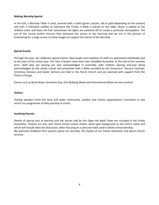#### **Making Worship Special**

In the hall, a Worship Table is used, covered with a cloth (green, purple, red or gold depending on the season) and with 3 individual candles to represent the Trinity. A Bible is placed on the table. Music is played as the children enter and leave the hall. Sometimes the lights are switched off to create a particular atmosphere. The use of the sound system ensures that everyone has access to the learning and we are in the process of fundraising for a large screen to show images to support the theme of the Worship.

#### **Special Events**

Through the year, we celebrate special events. New pupils and members of staff are welcomed individually and at the start of the school year. Our Year 4 leavers have their own 'Goodbye Assembly' at the end of the summer term. Staff who are leaving are also acknowledged in assembly, with children leaving mid-year being acknowledged by the whole school and presented with a Bible provided by the Governors. Harvest Festivals, Christmas Services and Easter Services are held in the Parish Church and are planned with support from the Priest inCharge.

Events such as Book Week, Armistice Day, Anti-Bullying Week and International Week are alsomarked.

#### **Visitors**

Visiting speakers from the local and wider community, welfare and charity organisations contribute to and enrich our programme of daily worship in school.

#### **Involving Parents**

Details of special acts of worship and the stories told by the Open the Book Team are included in the Friday newsletter. Parents are also sent Home School Values sheets, which give background to the term's Value and which will include ideas for discussion, often focusing on a story we have used in whole school worship. We welcome feedback from parents about our worship, the impact of our Values education and about Church services.